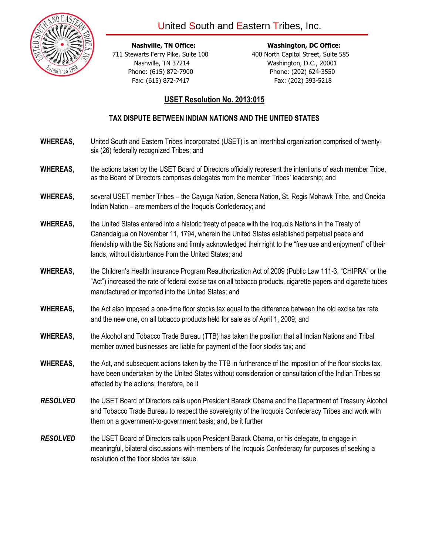

 **Nashville, TN Office: Washington, DC Office:** 711 Stewarts Ferry Pike, Suite 100 400 North Capitol Street, Suite 585 Nashville, TN 37214 Washington, D.C., 20001 Phone: (615) 872-7900 **Phone: (202) 624-3550** Fax: (615) 872-7417 Fax: (202) 393-5218

## **USET Resolution No. 2013:015**

## **TAX DISPUTE BETWEEN INDIAN NATIONS AND THE UNITED STATES**

- **WHEREAS,** United South and Eastern Tribes Incorporated (USET) is an intertribal organization comprised of twentysix (26) federally recognized Tribes; and
- **WHEREAS,** the actions taken by the USET Board of Directors officially represent the intentions of each member Tribe, as the Board of Directors comprises delegates from the member Tribes' leadership; and
- **WHEREAS,** several USET member Tribes the Cayuga Nation, Seneca Nation, St. Regis Mohawk Tribe, and Oneida Indian Nation – are members of the Iroquois Confederacy; and
- **WHEREAS,** the United States entered into a historic treaty of peace with the Iroquois Nations in the Treaty of Canandaigua on November 11, 1794, wherein the United States established perpetual peace and friendship with the Six Nations and firmly acknowledged their right to the "free use and enjoyment" of their lands, without disturbance from the United States; and
- **WHEREAS,** the Children's Health Insurance Program Reauthorization Act of 2009 (Public Law 111-3, "CHIPRA" or the "Act") increased the rate of federal excise tax on all tobacco products, cigarette papers and cigarette tubes manufactured or imported into the United States; and
- **WHEREAS,** the Act also imposed a one-time floor stocks tax equal to the difference between the old excise tax rate and the new one, on all tobacco products held for sale as of April 1, 2009; and
- **WHEREAS,** the Alcohol and Tobacco Trade Bureau (TTB) has taken the position that all Indian Nations and Tribal member owned businesses are liable for payment of the floor stocks tax; and
- **WHEREAS,** the Act, and subsequent actions taken by the TTB in furtherance of the imposition of the floor stocks tax, have been undertaken by the United States without consideration or consultation of the Indian Tribes so affected by the actions; therefore, be it
- *RESOLVED* the USET Board of Directors calls upon President Barack Obama and the Department of Treasury Alcohol and Tobacco Trade Bureau to respect the sovereignty of the Iroquois Confederacy Tribes and work with them on a government-to-government basis; and, be it further
- **RESOLVED** the USET Board of Directors calls upon President Barack Obama, or his delegate, to engage in meaningful, bilateral discussions with members of the Iroquois Confederacy for purposes of seeking a resolution of the floor stocks tax issue.